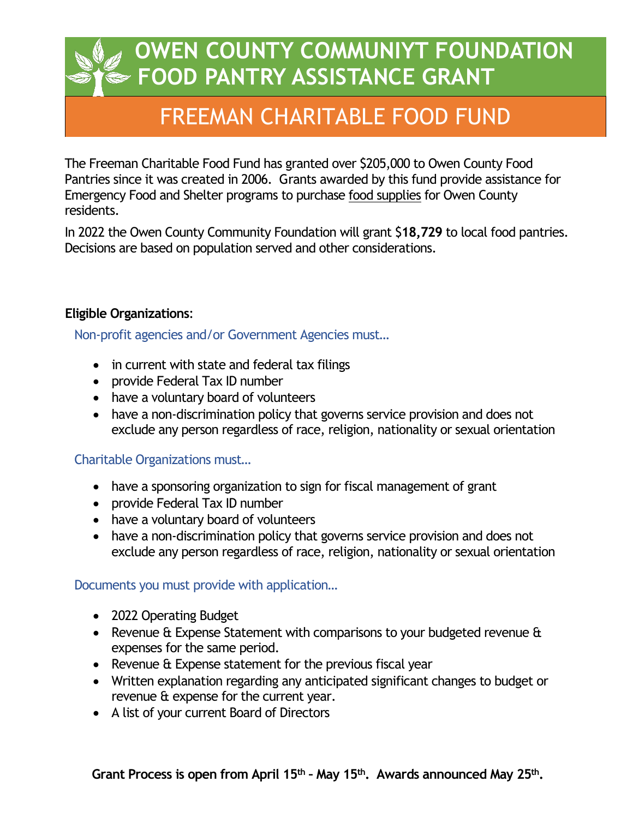## FREEMAN CHARITABLE FOOD FUND

The Freeman Charitable Food Fund has granted over \$205,000 to Owen County Food Pantries since it was created in 2006. Grants awarded by this fund provide assistance for Emergency Food and Shelter programs to purchase food supplies for Owen County residents.

In 2022 the Owen County Community Foundation will grant \$**18,729** to local food pantries. Decisions are based on population served and other considerations.

#### **Eligible Organizations**:

Non-profit agencies and/or Government Agencies must…

- in current with state and federal tax filings
- provide Federal Tax ID number
- have a voluntary board of volunteers
- have a non-discrimination policy that governs service provision and does not exclude any person regardless of race, religion, nationality or sexual orientation

#### Charitable Organizations must…

- have a sponsoring organization to sign for fiscal management of grant
- provide Federal Tax ID number
- have a voluntary board of volunteers
- have a non-discrimination policy that governs service provision and does not exclude any person regardless of race, religion, nationality or sexual orientation

#### Documents you must provide with application…

- 2022 Operating Budget
- Revenue & Expense Statement with comparisons to your budgeted revenue & expenses for the same period.
- Revenue & Expense statement for the previous fiscal year
- Written explanation regarding any anticipated significant changes to budget or revenue & expense for the current year.
- A list of your current Board of Directors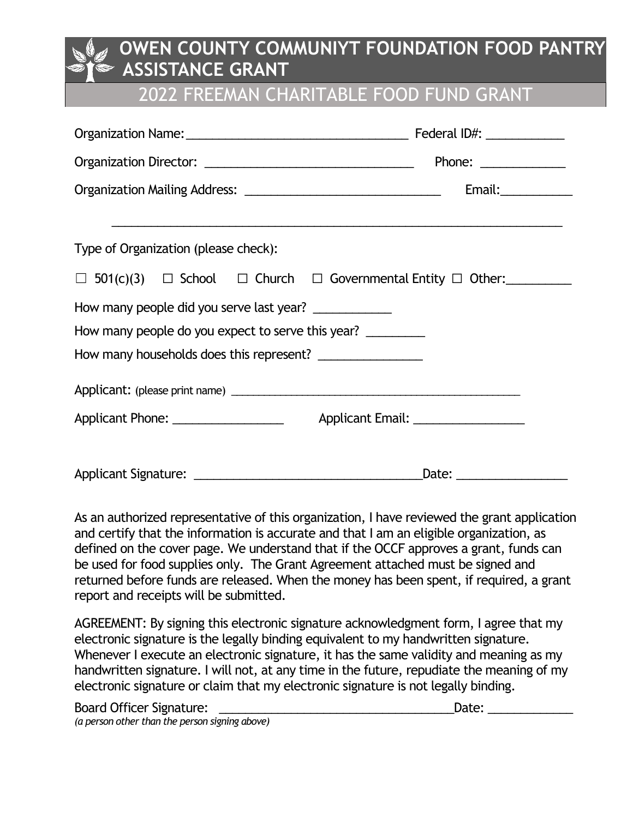### 2022 FREEMAN CHARITABLE FOOD FUND GRANT

|                                                                                       |  |  |  |  |  | Phone: ______________ |  |  |
|---------------------------------------------------------------------------------------|--|--|--|--|--|-----------------------|--|--|
|                                                                                       |  |  |  |  |  |                       |  |  |
|                                                                                       |  |  |  |  |  |                       |  |  |
| Type of Organization (please check):                                                  |  |  |  |  |  |                       |  |  |
| $\Box$ 501(c)(3) $\Box$ School $\Box$ Church $\Box$ Governmental Entity $\Box$ Other: |  |  |  |  |  |                       |  |  |
| How many people did you serve last year? ______________                               |  |  |  |  |  |                       |  |  |
| How many people do you expect to serve this year?                                     |  |  |  |  |  |                       |  |  |
| How many households does this represent? _________________                            |  |  |  |  |  |                       |  |  |
|                                                                                       |  |  |  |  |  |                       |  |  |
|                                                                                       |  |  |  |  |  |                       |  |  |
|                                                                                       |  |  |  |  |  |                       |  |  |
|                                                                                       |  |  |  |  |  |                       |  |  |

As an authorized representative of this organization, I have reviewed the grant application and certify that the information is accurate and that I am an eligible organization, as defined on the cover page. We understand that if the OCCF approves a grant, funds can be used for food supplies only. The Grant Agreement attached must be signed and returned before funds are released. When the money has been spent, if required, a grant report and receipts will be submitted.

AGREEMENT: By signing this electronic signature acknowledgment form, I agree that my electronic signature is the legally binding equivalent to my handwritten signature. Whenever I execute an electronic signature, it has the same validity and meaning as my handwritten signature. I will not, at any time in the future, repudiate the meaning of my electronic signature or claim that my electronic signature is not legally binding.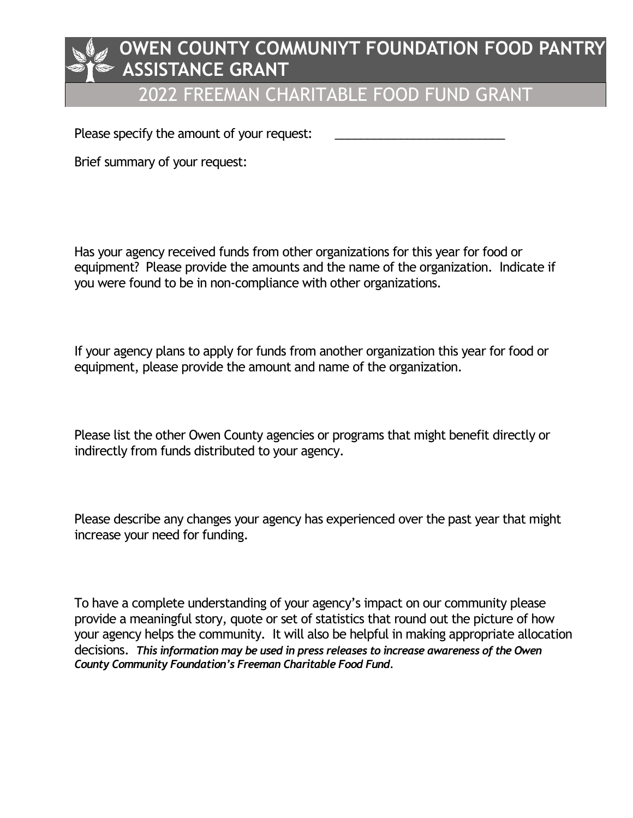## 2022 FREEMAN CHARITABLE FOOD FUND GRANT

Please specify the amount of your request:

Brief summary of your request:

Has your agency received funds from other organizations for this year for food or equipment? Please provide the amounts and the name of the organization. Indicate if you were found to be in non-compliance with other organizations.

If your agency plans to apply for funds from another organization this year for food or equipment, please provide the amount and name of the organization.

Please list the other Owen County agencies or programs that might benefit directly or indirectly from funds distributed to your agency.

Please describe any changes your agency has experienced over the past year that might increase your need for funding.

To have a complete understanding of your agency's impact on our community please provide a meaningful story, quote or set of statistics that round out the picture of how your agency helps the community. It will also be helpful in making appropriate allocation decisions. *This information may be used in press releases to increase awareness of the Owen County Community Foundation's Freeman Charitable Food Fund.*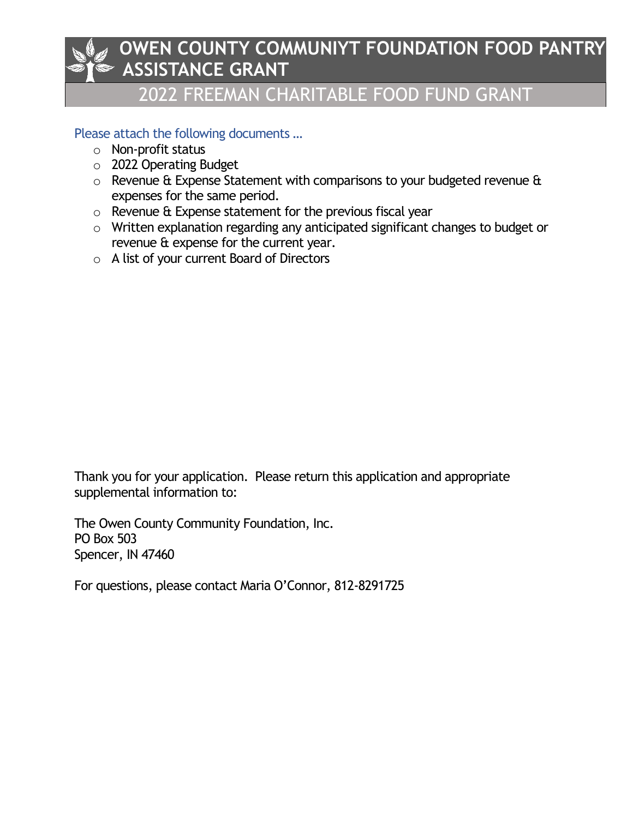## 2022 FREEMAN CHARITABLE FOOD FUND GRANT

#### Please attach the following documents …

- o Non-profit status
- o 2022 Operating Budget
- $\circ$  Revenue & Expense Statement with comparisons to your budgeted revenue & expenses for the same period.
- o Revenue & Expense statement for the previous fiscal year
- o Written explanation regarding any anticipated significant changes to budget or revenue & expense for the current year.
- o A list of your current Board of Directors

Thank you for your application. Please return this application and appropriate supplemental information to:

The Owen County Community Foundation, Inc. PO Box 503 Spencer, IN 47460

For questions, please contact Maria O'Connor, 812-8291725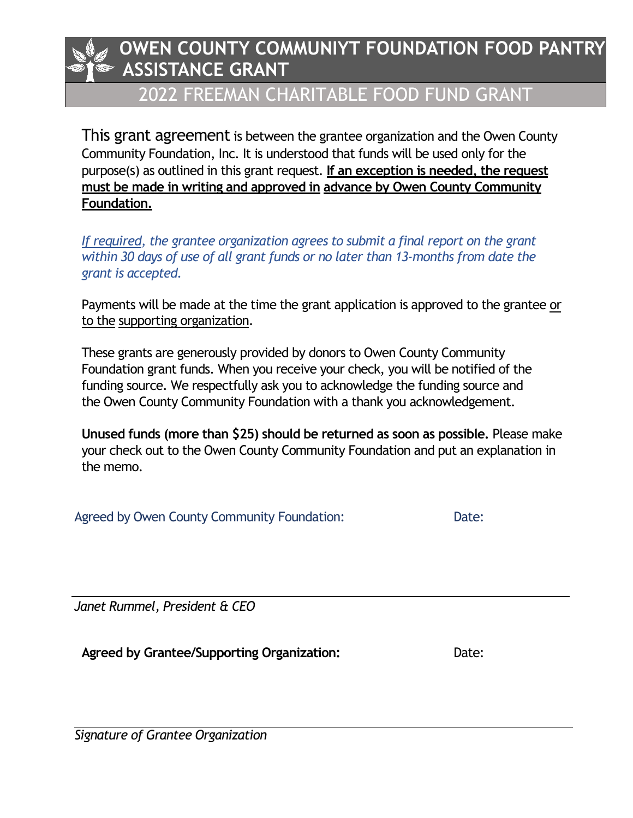## 2022 FREEMAN CHARITABLE FOOD FUND GRANT

This grant agreement is between the grantee organization and the Owen County Community Foundation, Inc. It is understood that funds will be used only for the purpose(s) as outlined in this grant request. **If an exception is needed, the request must be made in writing and approved in advance by Owen County Community Foundation.**

*If required, the grantee organization agrees to submit a final report on the grant within 30 days of use of all grant funds or no later than 13-months from date the grant is accepted.*

Payments will be made at the time the grant application is approved to the grantee or to the supporting organization.

These grants are generously provided by donors to Owen County Community Foundation grant funds. When you receive your check, you will be notified of the funding source. We respectfully ask you to acknowledge the funding source and the Owen County Community Foundation with a thank you acknowledgement.

**Unused funds (more than \$25) should be returned as soon as possible.** Please make your check out to the Owen County Community Foundation and put an explanation in the memo.

Agreed by Owen County Community Foundation: Date:

*Janet Rummel, President & CEO*

**Agreed by Grantee/Supporting Organization:** Date:

*Signature of Grantee Organization*